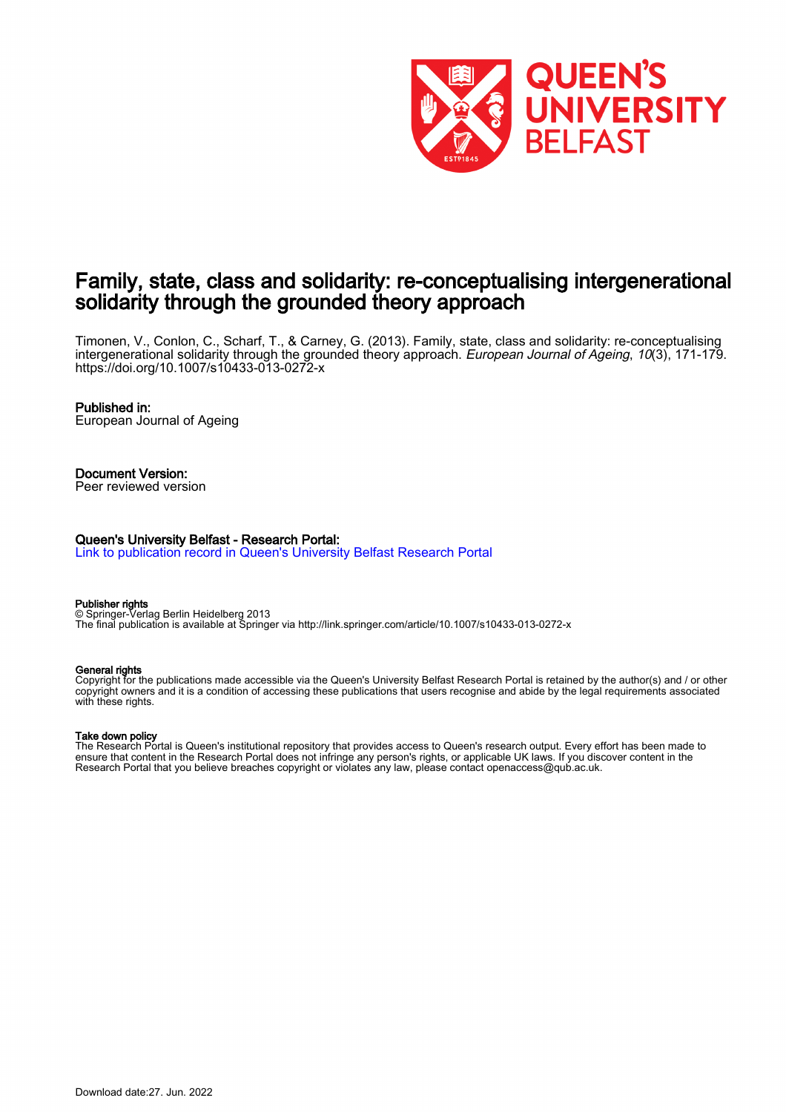

# Family, state, class and solidarity: re-conceptualising intergenerational solidarity through the grounded theory approach

Timonen, V., Conlon, C., Scharf, T., & Carney, G. (2013). Family, state, class and solidarity: re-conceptualising intergenerational solidarity through the grounded theory approach. European Journal of Ageing, 10(3), 171-179. <https://doi.org/10.1007/s10433-013-0272-x>

#### Published in:

European Journal of Ageing

#### Document Version: Peer reviewed version

#### Queen's University Belfast - Research Portal:

[Link to publication record in Queen's University Belfast Research Portal](https://pure.qub.ac.uk/en/publications/b1d0b4b5-0bf4-4cfa-961f-ece1c5affc4f)

# Publisher rights

© Springer-Verlag Berlin Heidelberg 2013 The final publication is available at Springer via http://link.springer.com/article/10.1007/s10433-013-0272-x

#### General rights

Copyright for the publications made accessible via the Queen's University Belfast Research Portal is retained by the author(s) and / or other copyright owners and it is a condition of accessing these publications that users recognise and abide by the legal requirements associated with these rights.

#### Take down policy

The Research Portal is Queen's institutional repository that provides access to Queen's research output. Every effort has been made to ensure that content in the Research Portal does not infringe any person's rights, or applicable UK laws. If you discover content in the Research Portal that you believe breaches copyright or violates any law, please contact openaccess@qub.ac.uk.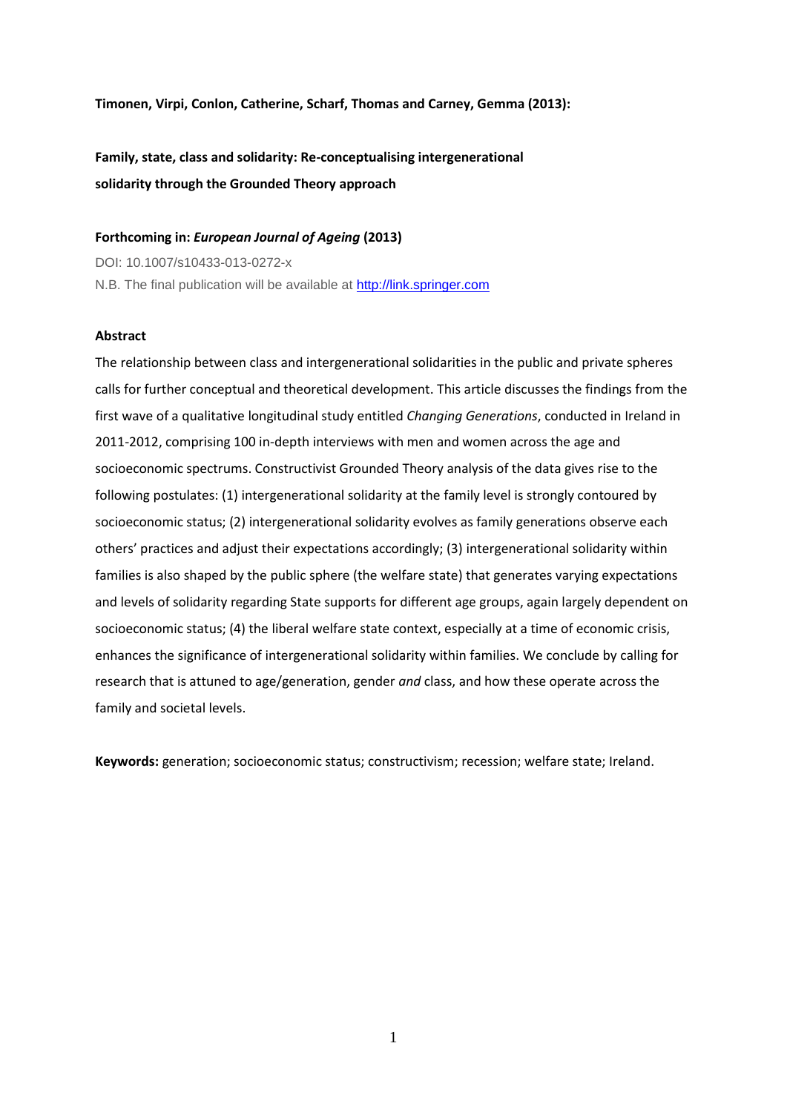**Timonen, Virpi, Conlon, Catherine, Scharf, Thomas and Carney, Gemma (2013):**

**Family, state, class and solidarity: Re-conceptualising intergenerational solidarity through the Grounded Theory approach**

# **Forthcoming in:** *European Journal of Ageing* **(2013)**

DOI: 10.1007/s10433-013-0272-x N.B. The final publication will be available at [http://link.springer.com](http://link.springer.com/)

#### **Abstract**

The relationship between class and intergenerational solidarities in the public and private spheres calls for further conceptual and theoretical development. This article discusses the findings from the first wave of a qualitative longitudinal study entitled *Changing Generations*, conducted in Ireland in 2011-2012, comprising 100 in-depth interviews with men and women across the age and socioeconomic spectrums. Constructivist Grounded Theory analysis of the data gives rise to the following postulates: (1) intergenerational solidarity at the family level is strongly contoured by socioeconomic status; (2) intergenerational solidarity evolves as family generations observe each others' practices and adjust their expectations accordingly; (3) intergenerational solidarity within families is also shaped by the public sphere (the welfare state) that generates varying expectations and levels of solidarity regarding State supports for different age groups, again largely dependent on socioeconomic status; (4) the liberal welfare state context, especially at a time of economic crisis, enhances the significance of intergenerational solidarity within families. We conclude by calling for research that is attuned to age/generation, gender *and* class, and how these operate across the family and societal levels.

**Keywords:** generation; socioeconomic status; constructivism; recession; welfare state; Ireland.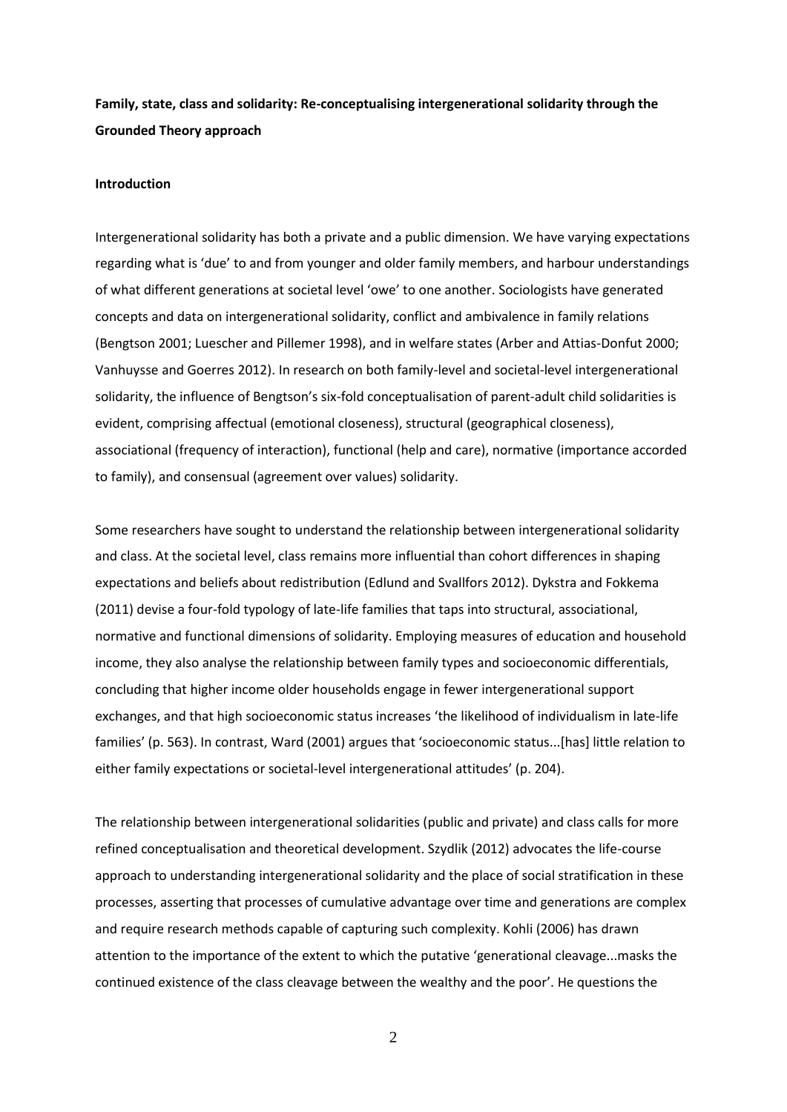**Family, state, class and solidarity: Re-conceptualising intergenerational solidarity through the Grounded Theory approach**

### **Introduction**

Intergenerational solidarity has both a private and a public dimension. We have varying expectations regarding what is 'due' to and from younger and older family members, and harbour understandings of what different generations at societal level 'owe' to one another. Sociologists have generated concepts and data on intergenerational solidarity, conflict and ambivalence in family relations (Bengtson 2001; Luescher and Pillemer 1998), and in welfare states (Arber and Attias-Donfut 2000; Vanhuysse and Goerres 2012). In research on both family-level and societal-level intergenerational solidarity, the influence of Bengtson's six-fold conceptualisation of parent-adult child solidarities is evident, comprising affectual (emotional closeness), structural (geographical closeness), associational (frequency of interaction), functional (help and care), normative (importance accorded to family), and consensual (agreement over values) solidarity.

Some researchers have sought to understand the relationship between intergenerational solidarity and class. At the societal level, class remains more influential than cohort differences in shaping expectations and beliefs about redistribution (Edlund and Svallfors 2012). Dykstra and Fokkema (2011) devise a four-fold typology of late-life families that taps into structural, associational, normative and functional dimensions of solidarity. Employing measures of education and household income, they also analyse the relationship between family types and socioeconomic differentials, concluding that higher income older households engage in fewer intergenerational support exchanges, and that high socioeconomic status increases 'the likelihood of individualism in late-life families' (p. 563). In contrast, Ward (2001) argues that 'socioeconomic status...[has] little relation to either family expectations or societal-level intergenerational attitudes' (p. 204).

The relationship between intergenerational solidarities (public and private) and class calls for more refined conceptualisation and theoretical development. Szydlik (2012) advocates the life-course approach to understanding intergenerational solidarity and the place of social stratification in these processes, asserting that processes of cumulative advantage over time and generations are complex and require research methods capable of capturing such complexity. Kohli (2006) has drawn attention to the importance of the extent to which the putative 'generational cleavage...masks the continued existence of the class cleavage between the wealthy and the poor'. He questions the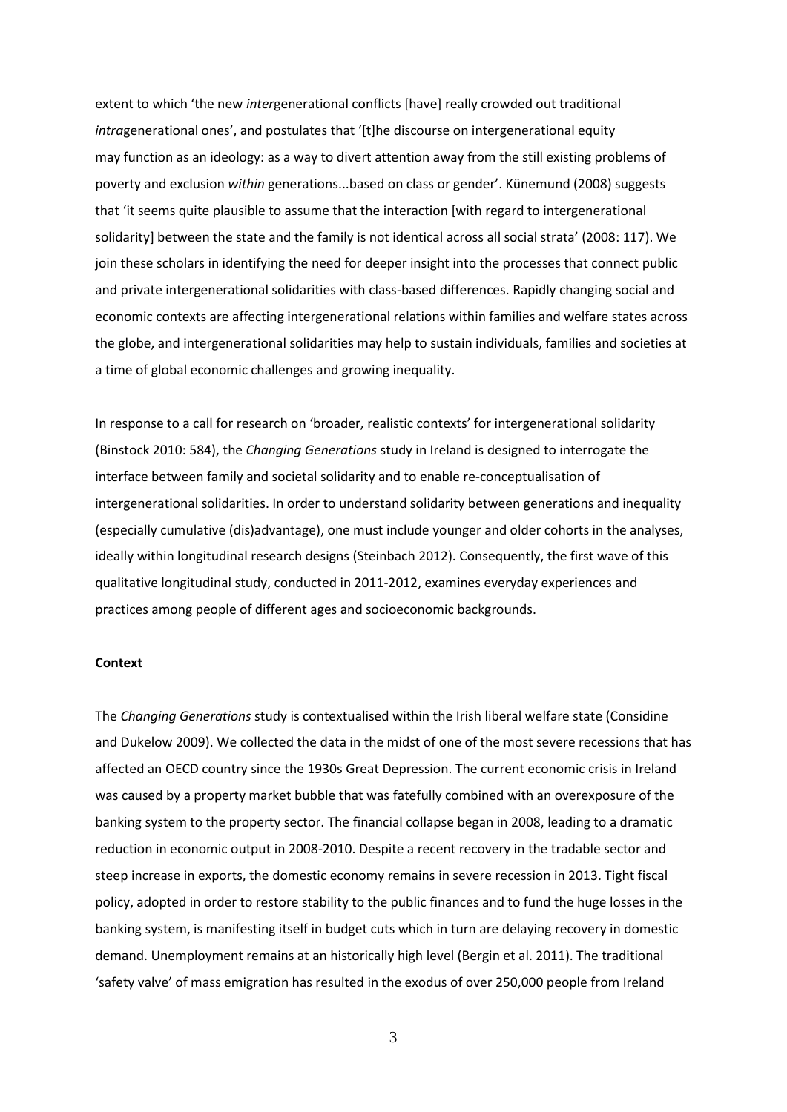extent to which 'the new *inter*generational conflicts [have] really crowded out traditional *intra*generational ones', and postulates that '[t]he discourse on intergenerational equity may function as an ideology: as a way to divert attention away from the still existing problems of poverty and exclusion *within* generations...based on class or gender'. Künemund (2008) suggests that 'it seems quite plausible to assume that the interaction [with regard to intergenerational solidarity] between the state and the family is not identical across all social strata' (2008: 117). We join these scholars in identifying the need for deeper insight into the processes that connect public and private intergenerational solidarities with class-based differences. Rapidly changing social and economic contexts are affecting intergenerational relations within families and welfare states across the globe, and intergenerational solidarities may help to sustain individuals, families and societies at a time of global economic challenges and growing inequality.

In response to a call for research on 'broader, realistic contexts' for intergenerational solidarity (Binstock 2010: 584), the *Changing Generations* study in Ireland is designed to interrogate the interface between family and societal solidarity and to enable re-conceptualisation of intergenerational solidarities. In order to understand solidarity between generations and inequality (especially cumulative (dis)advantage), one must include younger and older cohorts in the analyses, ideally within longitudinal research designs (Steinbach 2012). Consequently, the first wave of this qualitative longitudinal study, conducted in 2011-2012, examines everyday experiences and practices among people of different ages and socioeconomic backgrounds.

## **Context**

The *Changing Generations* study is contextualised within the Irish liberal welfare state (Considine and Dukelow 2009). We collected the data in the midst of one of the most severe recessions that has affected an OECD country since the 1930s Great Depression. The current economic crisis in Ireland was caused by a property market bubble that was fatefully combined with an overexposure of the banking system to the property sector. The financial collapse began in 2008, leading to a dramatic reduction in economic output in 2008-2010. Despite a recent recovery in the tradable sector and steep increase in exports, the domestic economy remains in severe recession in 2013. Tight fiscal policy, adopted in order to restore stability to the public finances and to fund the huge losses in the banking system, is manifesting itself in budget cuts which in turn are delaying recovery in domestic demand. Unemployment remains at an historically high level (Bergin et al. 2011). The traditional 'safety valve' of mass emigration has resulted in the exodus of over 250,000 people from Ireland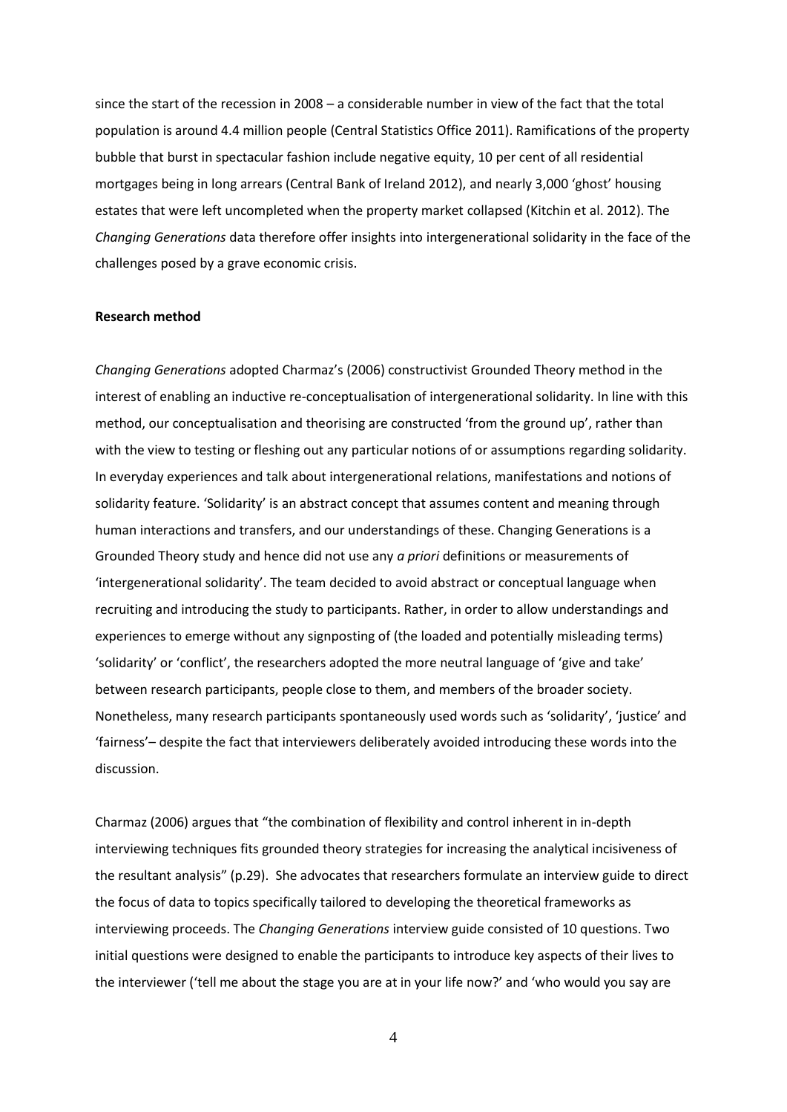since the start of the recession in 2008 – a considerable number in view of the fact that the total population is around 4.4 million people (Central Statistics Office 2011). Ramifications of the property bubble that burst in spectacular fashion include negative equity, 10 per cent of all residential mortgages being in long arrears (Central Bank of Ireland 2012), and nearly 3,000 'ghost' housing estates that were left uncompleted when the property market collapsed (Kitchin et al. 2012). The *Changing Generations* data therefore offer insights into intergenerational solidarity in the face of the challenges posed by a grave economic crisis.

#### **Research method**

*Changing Generations* adopted Charmaz's (2006) constructivist Grounded Theory method in the interest of enabling an inductive re-conceptualisation of intergenerational solidarity. In line with this method, our conceptualisation and theorising are constructed 'from the ground up', rather than with the view to testing or fleshing out any particular notions of or assumptions regarding solidarity. In everyday experiences and talk about intergenerational relations, manifestations and notions of solidarity feature. 'Solidarity' is an abstract concept that assumes content and meaning through human interactions and transfers, and our understandings of these. Changing Generations is a Grounded Theory study and hence did not use any *a priori* definitions or measurements of 'intergenerational solidarity'. The team decided to avoid abstract or conceptual language when recruiting and introducing the study to participants. Rather, in order to allow understandings and experiences to emerge without any signposting of (the loaded and potentially misleading terms) 'solidarity' or 'conflict', the researchers adopted the more neutral language of 'give and take' between research participants, people close to them, and members of the broader society. Nonetheless, many research participants spontaneously used words such as 'solidarity', 'justice' and 'fairness'– despite the fact that interviewers deliberately avoided introducing these words into the discussion.

Charmaz (2006) argues that "the combination of flexibility and control inherent in in-depth interviewing techniques fits grounded theory strategies for increasing the analytical incisiveness of the resultant analysis" (p.29). She advocates that researchers formulate an interview guide to direct the focus of data to topics specifically tailored to developing the theoretical frameworks as interviewing proceeds. The *Changing Generations* interview guide consisted of 10 questions. Two initial questions were designed to enable the participants to introduce key aspects of their lives to the interviewer ('tell me about the stage you are at in your life now?' and 'who would you say are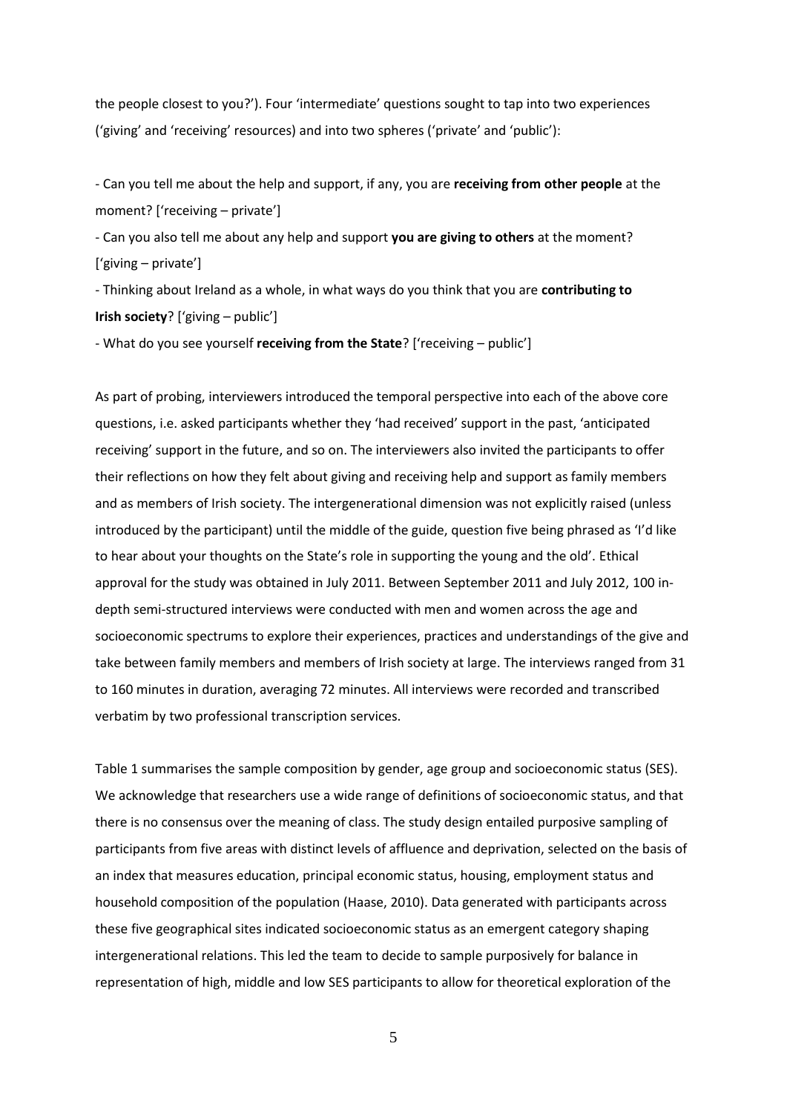the people closest to you?'). Four 'intermediate' questions sought to tap into two experiences ('giving' and 'receiving' resources) and into two spheres ('private' and 'public'):

- Can you tell me about the help and support, if any, you are **receiving from other people** at the moment? ['receiving – private']

- Can you also tell me about any help and support **you are giving to others** at the moment? ['giving – private']

- Thinking about Ireland as a whole, in what ways do you think that you are **contributing to Irish society**? ['giving – public']

- What do you see yourself **receiving from the State**? ['receiving – public']

As part of probing, interviewers introduced the temporal perspective into each of the above core questions, i.e. asked participants whether they 'had received' support in the past, 'anticipated receiving' support in the future, and so on. The interviewers also invited the participants to offer their reflections on how they felt about giving and receiving help and support as family members and as members of Irish society. The intergenerational dimension was not explicitly raised (unless introduced by the participant) until the middle of the guide, question five being phrased as 'I'd like to hear about your thoughts on the State's role in supporting the young and the old'. Ethical approval for the study was obtained in July 2011. Between September 2011 and July 2012, 100 indepth semi-structured interviews were conducted with men and women across the age and socioeconomic spectrums to explore their experiences, practices and understandings of the give and take between family members and members of Irish society at large. The interviews ranged from 31 to 160 minutes in duration, averaging 72 minutes. All interviews were recorded and transcribed verbatim by two professional transcription services.

Table 1 summarises the sample composition by gender, age group and socioeconomic status (SES). We acknowledge that researchers use a wide range of definitions of socioeconomic status, and that there is no consensus over the meaning of class. The study design entailed purposive sampling of participants from five areas with distinct levels of affluence and deprivation, selected on the basis of an index that measures education, principal economic status, housing, employment status and household composition of the population (Haase, 2010). Data generated with participants across these five geographical sites indicated socioeconomic status as an emergent category shaping intergenerational relations. This led the team to decide to sample purposively for balance in representation of high, middle and low SES participants to allow for theoretical exploration of the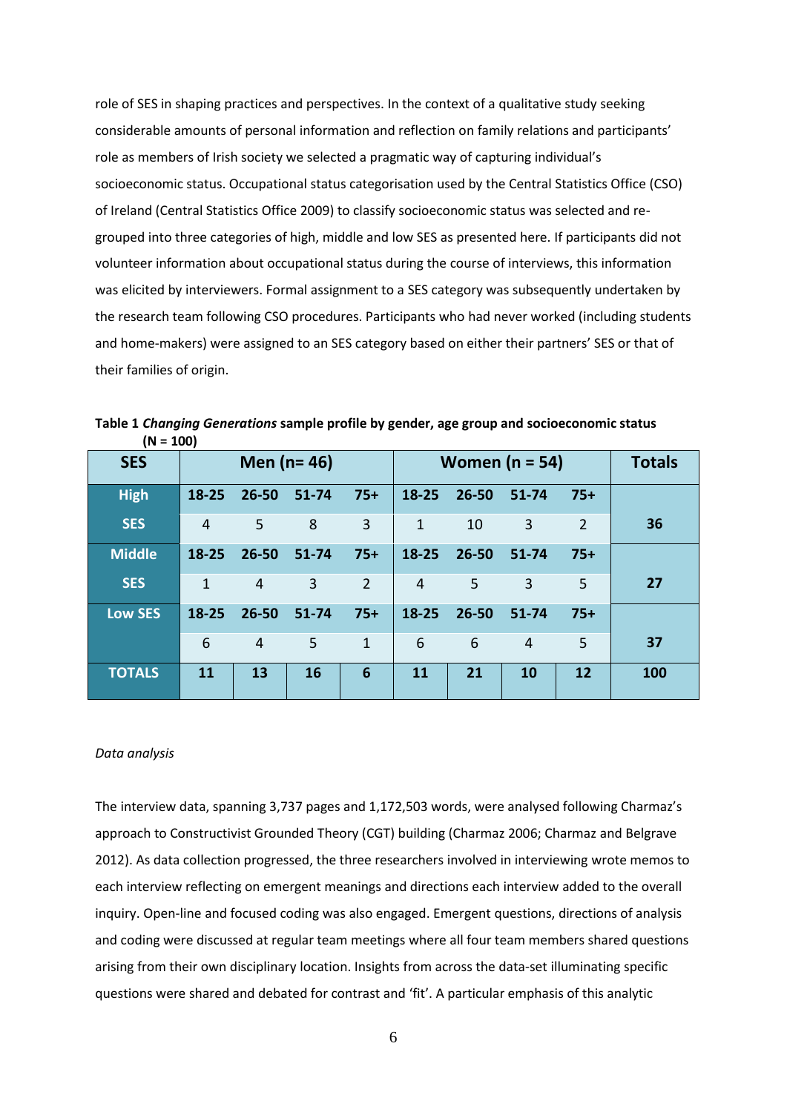role of SES in shaping practices and perspectives. In the context of a qualitative study seeking considerable amounts of personal information and reflection on family relations and participants' role as members of Irish society we selected a pragmatic way of capturing individual's socioeconomic status. Occupational status categorisation used by the Central Statistics Office (CSO) of Ireland (Central Statistics Office 2009) to classify socioeconomic status was selected and regrouped into three categories of high, middle and low SES as presented here. If participants did not volunteer information about occupational status during the course of interviews, this information was elicited by interviewers. Formal assignment to a SES category was subsequently undertaken by the research team following CSO procedures. Participants who had never worked (including students and home-makers) were assigned to an SES category based on either their partners' SES or that of their families of origin.

| $(10 = 100)$   |                  |                |                |                 |                  |           |                |                |               |
|----------------|------------------|----------------|----------------|-----------------|------------------|-----------|----------------|----------------|---------------|
| <b>SES</b>     | Men ( $n = 46$ ) |                |                |                 | Women $(n = 54)$ |           |                |                | <b>Totals</b> |
| <b>High</b>    | $18 - 25$        | $26 - 50$      | $51 - 74$      | $75+$           | $18 - 25$        | $26 - 50$ | $51 - 74$      | $75+$          |               |
| <b>SES</b>     | 4                | 5              | 8              | 3               | $\mathbf{1}$     | 10        | 3              | $\overline{2}$ | 36            |
| <b>Middle</b>  | $18 - 25$        | $26 - 50$      | 51-74          | $75+$           | 18-25            | 26-50     | $51 - 74$      | $75+$          |               |
| <b>SES</b>     | $\mathbf{1}$     | $\overline{4}$ | $\overline{3}$ | $\overline{2}$  | 4                | 5         | 3              | 5              | 27            |
| <b>Low SES</b> | $18 - 25$        | $26 - 50$      | $51 - 74$      | $75+$           | 18-25            | 26-50     | $51 - 74$      | $75+$          |               |
|                | 6                | $\overline{4}$ | 5              | $\mathbf{1}$    | 6                | 6         | $\overline{4}$ | 5              | 37            |
| <b>TOTALS</b>  | 11               | 13             | 16             | $6\phantom{1}6$ | 11               | 21        | 10             | 12             | 100           |

**Table 1** *Changing Generations* **sample profile by gender, age group and socioeconomic status**   $(n) = 100$ 

#### *Data analysis*

The interview data, spanning 3,737 pages and 1,172,503 words, were analysed following Charmaz's approach to Constructivist Grounded Theory (CGT) building (Charmaz 2006; Charmaz and Belgrave 2012). As data collection progressed, the three researchers involved in interviewing wrote memos to each interview reflecting on emergent meanings and directions each interview added to the overall inquiry. Open-line and focused coding was also engaged. Emergent questions, directions of analysis and coding were discussed at regular team meetings where all four team members shared questions arising from their own disciplinary location. Insights from across the data-set illuminating specific questions were shared and debated for contrast and 'fit'. A particular emphasis of this analytic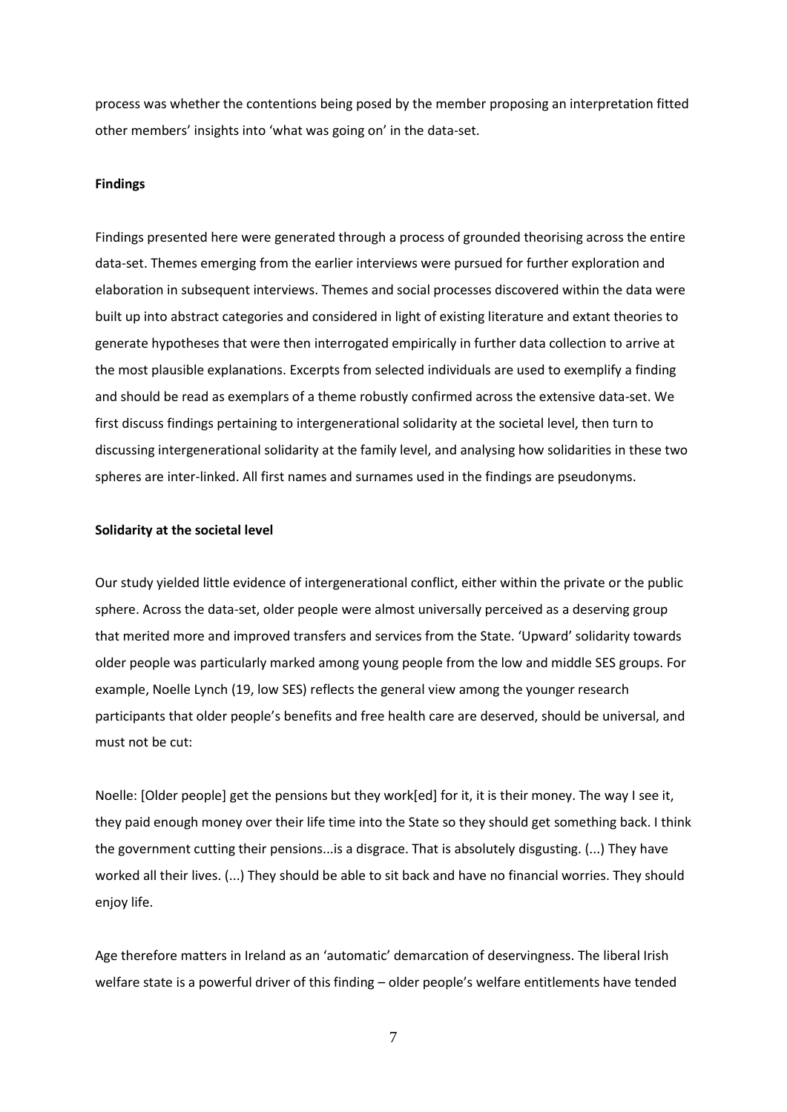process was whether the contentions being posed by the member proposing an interpretation fitted other members' insights into 'what was going on' in the data-set.

## **Findings**

Findings presented here were generated through a process of grounded theorising across the entire data-set. Themes emerging from the earlier interviews were pursued for further exploration and elaboration in subsequent interviews. Themes and social processes discovered within the data were built up into abstract categories and considered in light of existing literature and extant theories to generate hypotheses that were then interrogated empirically in further data collection to arrive at the most plausible explanations. Excerpts from selected individuals are used to exemplify a finding and should be read as exemplars of a theme robustly confirmed across the extensive data-set. We first discuss findings pertaining to intergenerational solidarity at the societal level, then turn to discussing intergenerational solidarity at the family level, and analysing how solidarities in these two spheres are inter-linked. All first names and surnames used in the findings are pseudonyms.

#### **Solidarity at the societal level**

Our study yielded little evidence of intergenerational conflict, either within the private or the public sphere. Across the data-set, older people were almost universally perceived as a deserving group that merited more and improved transfers and services from the State. 'Upward' solidarity towards older people was particularly marked among young people from the low and middle SES groups. For example, Noelle Lynch (19, low SES) reflects the general view among the younger research participants that older people's benefits and free health care are deserved, should be universal, and must not be cut:

Noelle: [Older people] get the pensions but they work[ed] for it, it is their money. The way I see it, they paid enough money over their life time into the State so they should get something back. I think the government cutting their pensions...is a disgrace. That is absolutely disgusting. (...) They have worked all their lives. (...) They should be able to sit back and have no financial worries. They should enjoy life.

Age therefore matters in Ireland as an 'automatic' demarcation of deservingness. The liberal Irish welfare state is a powerful driver of this finding – older people's welfare entitlements have tended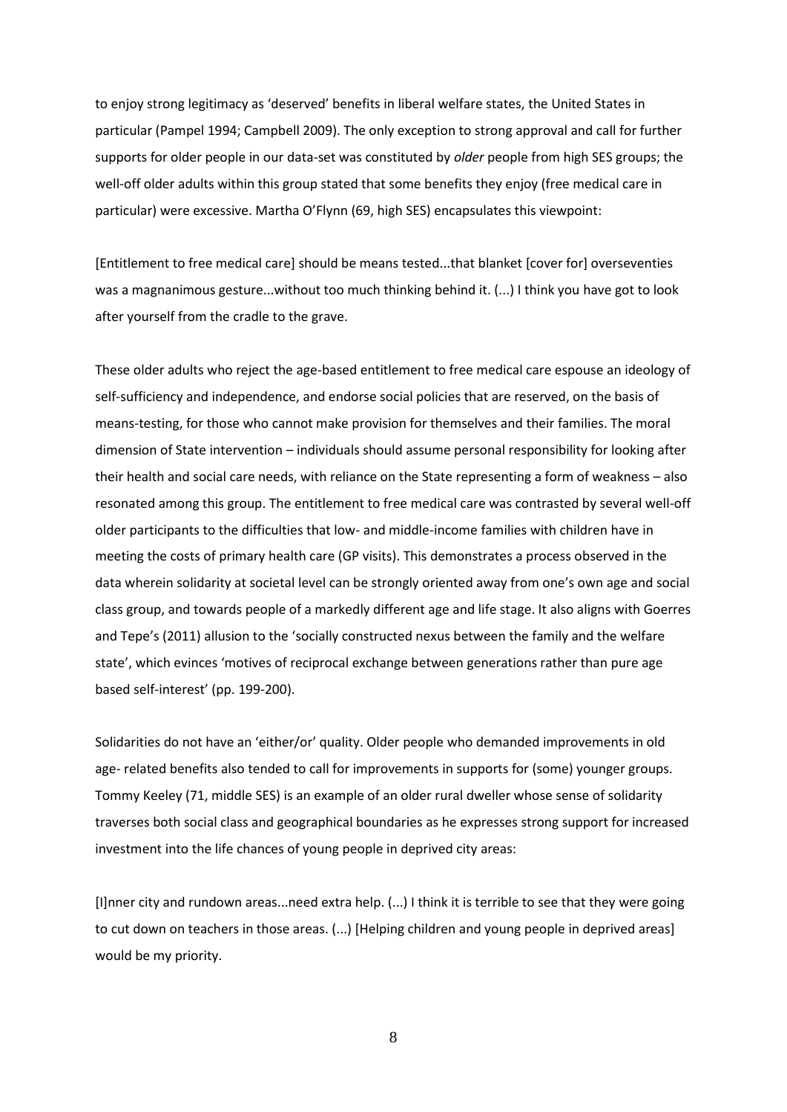to enjoy strong legitimacy as 'deserved' benefits in liberal welfare states, the United States in particular (Pampel 1994; Campbell 2009). The only exception to strong approval and call for further supports for older people in our data-set was constituted by *older* people from high SES groups; the well-off older adults within this group stated that some benefits they enjoy (free medical care in particular) were excessive. Martha O'Flynn (69, high SES) encapsulates this viewpoint:

[Entitlement to free medical care] should be means tested...that blanket [cover for] overseventies was a magnanimous gesture...without too much thinking behind it. (...) I think you have got to look after yourself from the cradle to the grave.

These older adults who reject the age-based entitlement to free medical care espouse an ideology of self-sufficiency and independence, and endorse social policies that are reserved, on the basis of means-testing, for those who cannot make provision for themselves and their families. The moral dimension of State intervention – individuals should assume personal responsibility for looking after their health and social care needs, with reliance on the State representing a form of weakness – also resonated among this group. The entitlement to free medical care was contrasted by several well-off older participants to the difficulties that low- and middle-income families with children have in meeting the costs of primary health care (GP visits). This demonstrates a process observed in the data wherein solidarity at societal level can be strongly oriented away from one's own age and social class group, and towards people of a markedly different age and life stage. It also aligns with Goerres and Tepe's (2011) allusion to the 'socially constructed nexus between the family and the welfare state', which evinces 'motives of reciprocal exchange between generations rather than pure age based self-interest' (pp. 199-200).

Solidarities do not have an 'either/or' quality. Older people who demanded improvements in old age- related benefits also tended to call for improvements in supports for (some) younger groups. Tommy Keeley (71, middle SES) is an example of an older rural dweller whose sense of solidarity traverses both social class and geographical boundaries as he expresses strong support for increased investment into the life chances of young people in deprived city areas:

[I]nner city and rundown areas...need extra help. (...) I think it is terrible to see that they were going to cut down on teachers in those areas. (...) [Helping children and young people in deprived areas] would be my priority.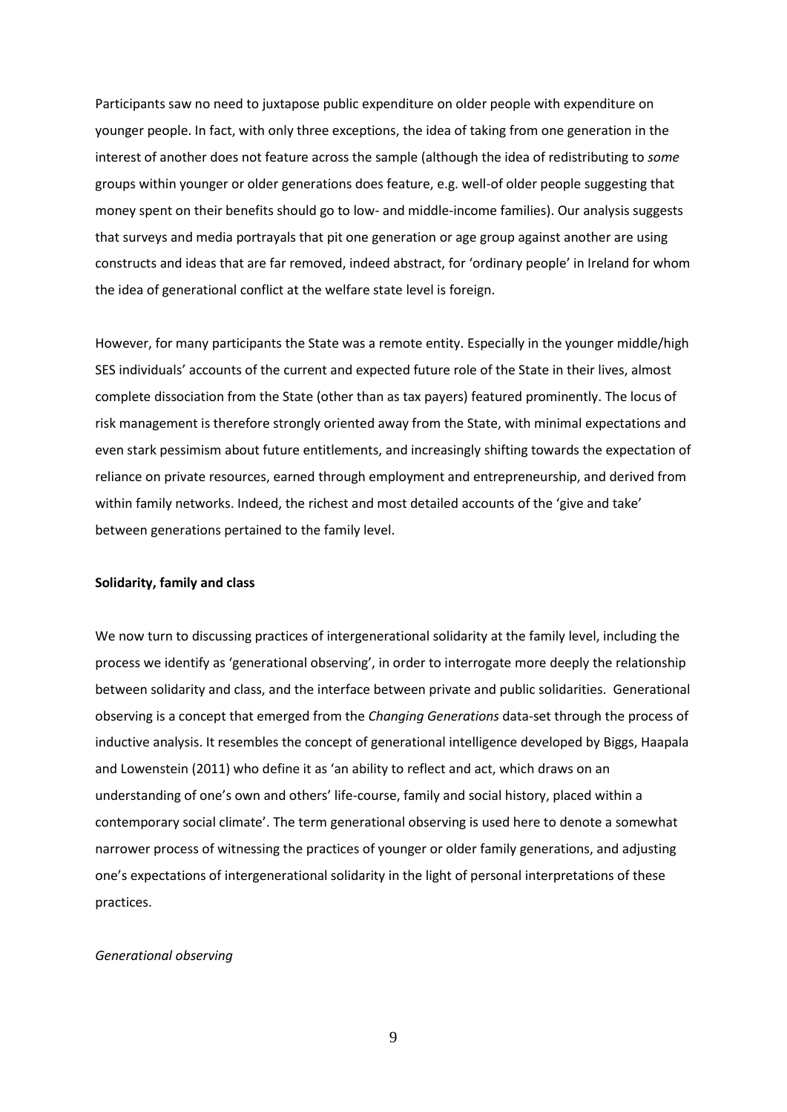Participants saw no need to juxtapose public expenditure on older people with expenditure on younger people. In fact, with only three exceptions, the idea of taking from one generation in the interest of another does not feature across the sample (although the idea of redistributing to *some* groups within younger or older generations does feature, e.g. well-of older people suggesting that money spent on their benefits should go to low- and middle-income families). Our analysis suggests that surveys and media portrayals that pit one generation or age group against another are using constructs and ideas that are far removed, indeed abstract, for 'ordinary people' in Ireland for whom the idea of generational conflict at the welfare state level is foreign.

However, for many participants the State was a remote entity. Especially in the younger middle/high SES individuals' accounts of the current and expected future role of the State in their lives, almost complete dissociation from the State (other than as tax payers) featured prominently. The locus of risk management is therefore strongly oriented away from the State, with minimal expectations and even stark pessimism about future entitlements, and increasingly shifting towards the expectation of reliance on private resources, earned through employment and entrepreneurship, and derived from within family networks. Indeed, the richest and most detailed accounts of the 'give and take' between generations pertained to the family level.

#### **Solidarity, family and class**

We now turn to discussing practices of intergenerational solidarity at the family level, including the process we identify as 'generational observing', in order to interrogate more deeply the relationship between solidarity and class, and the interface between private and public solidarities. Generational observing is a concept that emerged from the *Changing Generations* data-set through the process of inductive analysis. It resembles the concept of generational intelligence developed by Biggs, Haapala and Lowenstein (2011) who define it as 'an ability to reflect and act, which draws on an understanding of one's own and others' life-course, family and social history, placed within a contemporary social climate'. The term generational observing is used here to denote a somewhat narrower process of witnessing the practices of younger or older family generations, and adjusting one's expectations of intergenerational solidarity in the light of personal interpretations of these practices.

#### *Generational observing*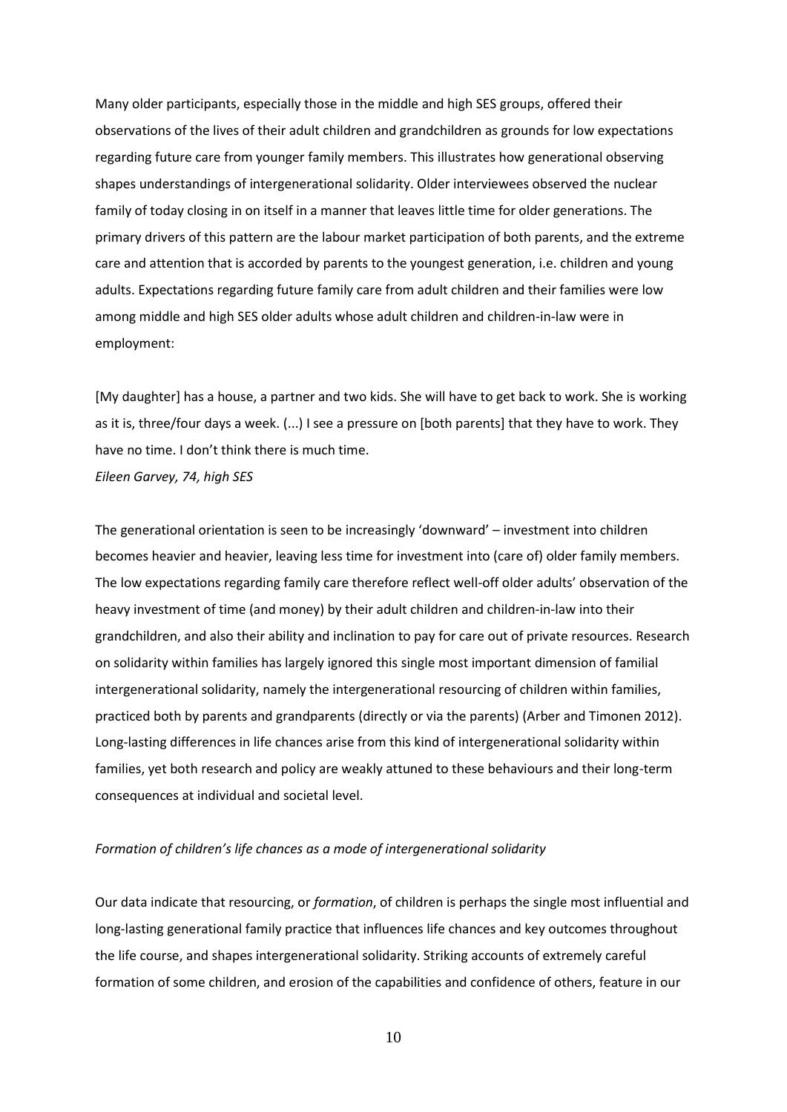Many older participants, especially those in the middle and high SES groups, offered their observations of the lives of their adult children and grandchildren as grounds for low expectations regarding future care from younger family members. This illustrates how generational observing shapes understandings of intergenerational solidarity. Older interviewees observed the nuclear family of today closing in on itself in a manner that leaves little time for older generations. The primary drivers of this pattern are the labour market participation of both parents, and the extreme care and attention that is accorded by parents to the youngest generation, i.e. children and young adults. Expectations regarding future family care from adult children and their families were low among middle and high SES older adults whose adult children and children-in-law were in employment:

[My daughter] has a house, a partner and two kids. She will have to get back to work. She is working as it is, three/four days a week. (...) I see a pressure on [both parents] that they have to work. They have no time. I don't think there is much time.

*Eileen Garvey, 74, high SES*

The generational orientation is seen to be increasingly 'downward' – investment into children becomes heavier and heavier, leaving less time for investment into (care of) older family members. The low expectations regarding family care therefore reflect well-off older adults' observation of the heavy investment of time (and money) by their adult children and children-in-law into their grandchildren, and also their ability and inclination to pay for care out of private resources. Research on solidarity within families has largely ignored this single most important dimension of familial intergenerational solidarity, namely the intergenerational resourcing of children within families, practiced both by parents and grandparents (directly or via the parents) (Arber and Timonen 2012). Long-lasting differences in life chances arise from this kind of intergenerational solidarity within families, yet both research and policy are weakly attuned to these behaviours and their long-term consequences at individual and societal level.

# *Formation of children's life chances as a mode of intergenerational solidarity*

Our data indicate that resourcing, or *formation*, of children is perhaps the single most influential and long-lasting generational family practice that influences life chances and key outcomes throughout the life course, and shapes intergenerational solidarity. Striking accounts of extremely careful formation of some children, and erosion of the capabilities and confidence of others, feature in our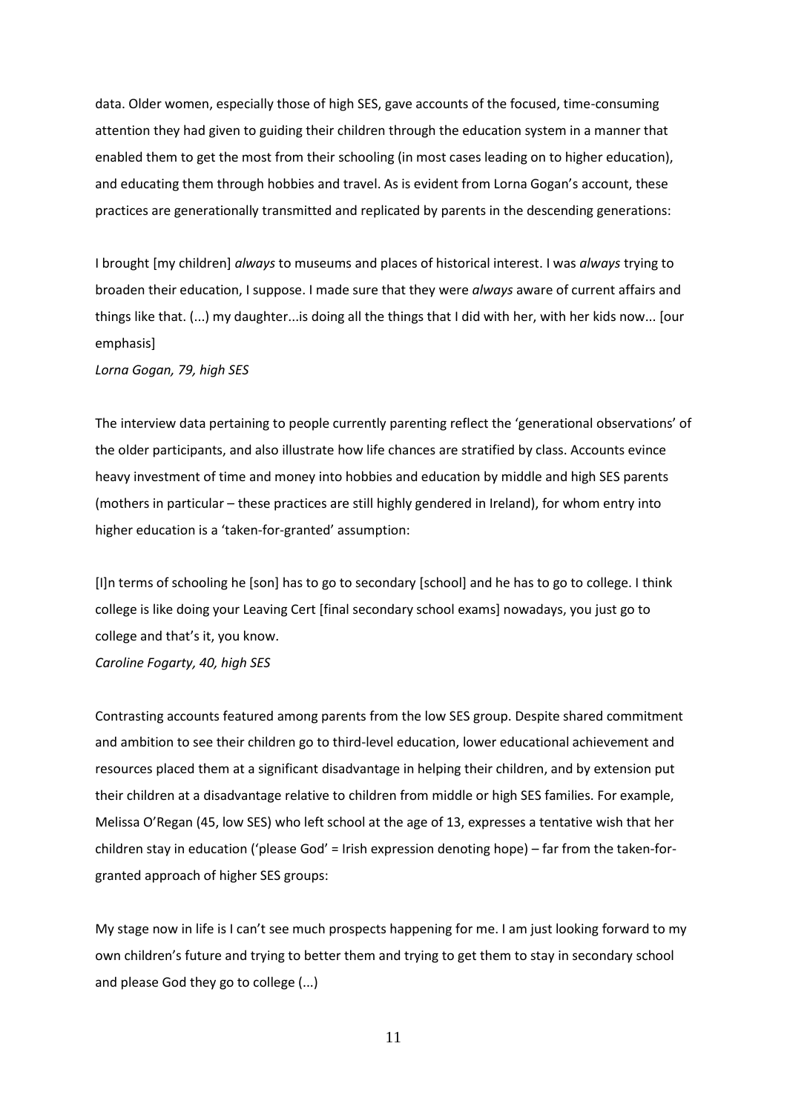data. Older women, especially those of high SES, gave accounts of the focused, time-consuming attention they had given to guiding their children through the education system in a manner that enabled them to get the most from their schooling (in most cases leading on to higher education), and educating them through hobbies and travel. As is evident from Lorna Gogan's account, these practices are generationally transmitted and replicated by parents in the descending generations:

I brought [my children] *always* to museums and places of historical interest. I was *always* trying to broaden their education, I suppose. I made sure that they were *always* aware of current affairs and things like that. (...) my daughter...is doing all the things that I did with her, with her kids now... [our emphasis]

*Lorna Gogan, 79, high SES*

The interview data pertaining to people currently parenting reflect the 'generational observations' of the older participants, and also illustrate how life chances are stratified by class. Accounts evince heavy investment of time and money into hobbies and education by middle and high SES parents (mothers in particular – these practices are still highly gendered in Ireland), for whom entry into higher education is a 'taken-for-granted' assumption:

[I]n terms of schooling he [son] has to go to secondary [school] and he has to go to college. I think college is like doing your Leaving Cert [final secondary school exams] nowadays, you just go to college and that's it, you know. *Caroline Fogarty, 40, high SES*

Contrasting accounts featured among parents from the low SES group. Despite shared commitment and ambition to see their children go to third-level education, lower educational achievement and resources placed them at a significant disadvantage in helping their children, and by extension put their children at a disadvantage relative to children from middle or high SES families. For example, Melissa O'Regan (45, low SES) who left school at the age of 13, expresses a tentative wish that her children stay in education ('please God' = Irish expression denoting hope) – far from the taken-forgranted approach of higher SES groups:

My stage now in life is I can't see much prospects happening for me. I am just looking forward to my own children's future and trying to better them and trying to get them to stay in secondary school and please God they go to college (...)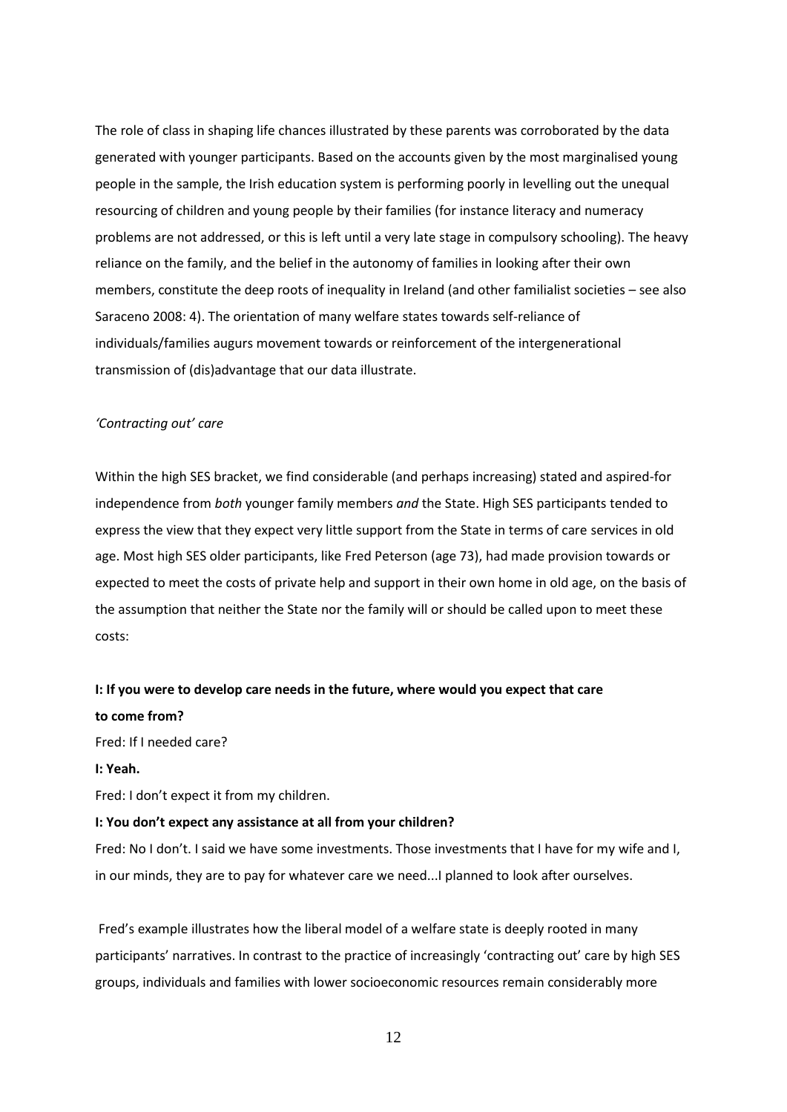The role of class in shaping life chances illustrated by these parents was corroborated by the data generated with younger participants. Based on the accounts given by the most marginalised young people in the sample, the Irish education system is performing poorly in levelling out the unequal resourcing of children and young people by their families (for instance literacy and numeracy problems are not addressed, or this is left until a very late stage in compulsory schooling). The heavy reliance on the family, and the belief in the autonomy of families in looking after their own members, constitute the deep roots of inequality in Ireland (and other familialist societies – see also Saraceno 2008: 4). The orientation of many welfare states towards self-reliance of individuals/families augurs movement towards or reinforcement of the intergenerational transmission of (dis)advantage that our data illustrate.

## *'Contracting out' care*

Within the high SES bracket, we find considerable (and perhaps increasing) stated and aspired-for independence from *both* younger family members *and* the State. High SES participants tended to express the view that they expect very little support from the State in terms of care services in old age. Most high SES older participants, like Fred Peterson (age 73), had made provision towards or expected to meet the costs of private help and support in their own home in old age, on the basis of the assumption that neither the State nor the family will or should be called upon to meet these costs:

# **I: If you were to develop care needs in the future, where would you expect that care to come from?**

Fred: If I needed care?

#### **I: Yeah.**

Fred: I don't expect it from my children.

## **I: You don't expect any assistance at all from your children?**

Fred: No I don't. I said we have some investments. Those investments that I have for my wife and I, in our minds, they are to pay for whatever care we need...I planned to look after ourselves.

Fred's example illustrates how the liberal model of a welfare state is deeply rooted in many participants' narratives. In contrast to the practice of increasingly 'contracting out' care by high SES groups, individuals and families with lower socioeconomic resources remain considerably more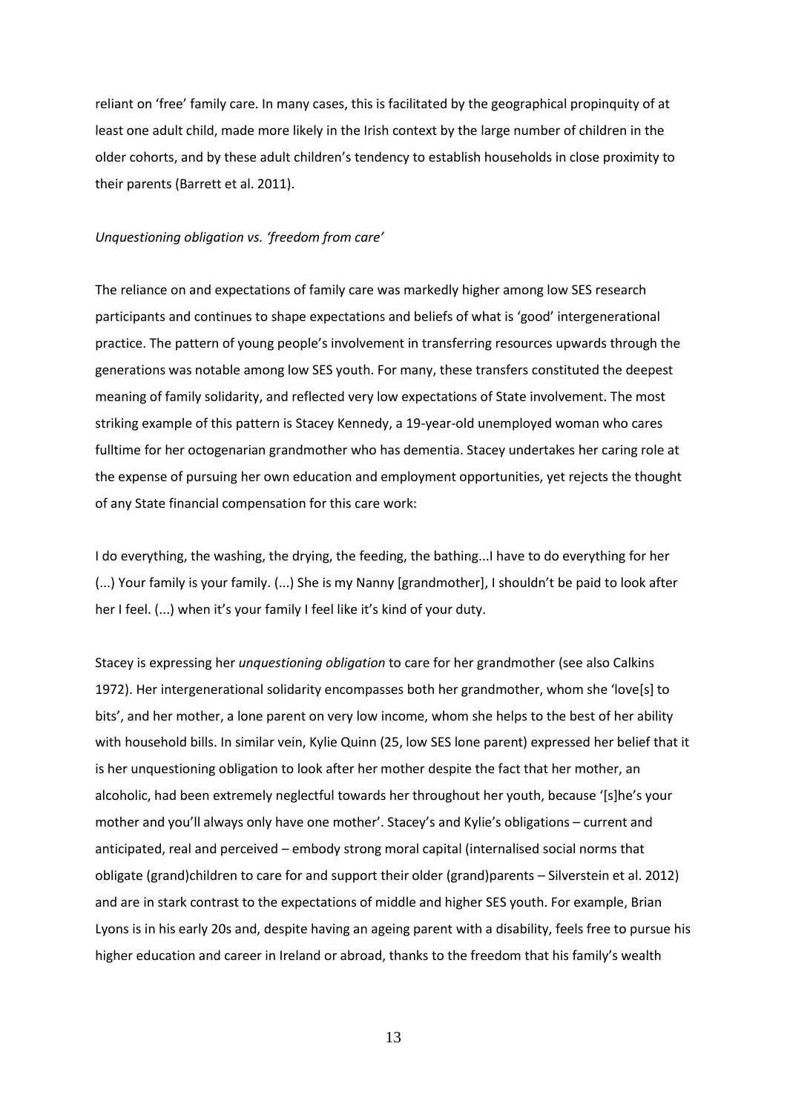reliant on 'free' family care. In many cases, this is facilitated by the geographical propinquity of at least one adult child, made more likely in the Irish context by the large number of children in the older cohorts, and by these adult children's tendency to establish households in close proximity to their parents (Barrett et al. 2011).

## *Unquestioning obligation vs. 'freedom from care'*

The reliance on and expectations of family care was markedly higher among low SES research participants and continues to shape expectations and beliefs of what is 'good' intergenerational practice. The pattern of young people's involvement in transferring resources upwards through the generations was notable among low SES youth. For many, these transfers constituted the deepest meaning of family solidarity, and reflected very low expectations of State involvement. The most striking example of this pattern is Stacey Kennedy, a 19-year-old unemployed woman who cares fulltime for her octogenarian grandmother who has dementia. Stacey undertakes her caring role at the expense of pursuing her own education and employment opportunities, yet rejects the thought of any State financial compensation for this care work:

I do everything, the washing, the drying, the feeding, the bathing...I have to do everything for her (...) Your family is your family. (...) She is my Nanny [grandmother], I shouldn't be paid to look after her I feel. (...) when it's your family I feel like it's kind of your duty.

Stacey is expressing her *unquestioning obligation* to care for her grandmother (see also Calkins 1972). Her intergenerational solidarity encompasses both her grandmother, whom she 'love[s] to bits', and her mother, a lone parent on very low income, whom she helps to the best of her ability with household bills. In similar vein, Kylie Quinn (25, low SES lone parent) expressed her belief that it is her unquestioning obligation to look after her mother despite the fact that her mother, an alcoholic, had been extremely neglectful towards her throughout her youth, because '[s]he's your mother and you'll always only have one mother'. Stacey's and Kylie's obligations – current and anticipated, real and perceived – embody strong moral capital (internalised social norms that obligate (grand)children to care for and support their older (grand)parents – Silverstein et al. 2012) and are in stark contrast to the expectations of middle and higher SES youth. For example, Brian Lyons is in his early 20s and, despite having an ageing parent with a disability, feels free to pursue his higher education and career in Ireland or abroad, thanks to the freedom that his family's wealth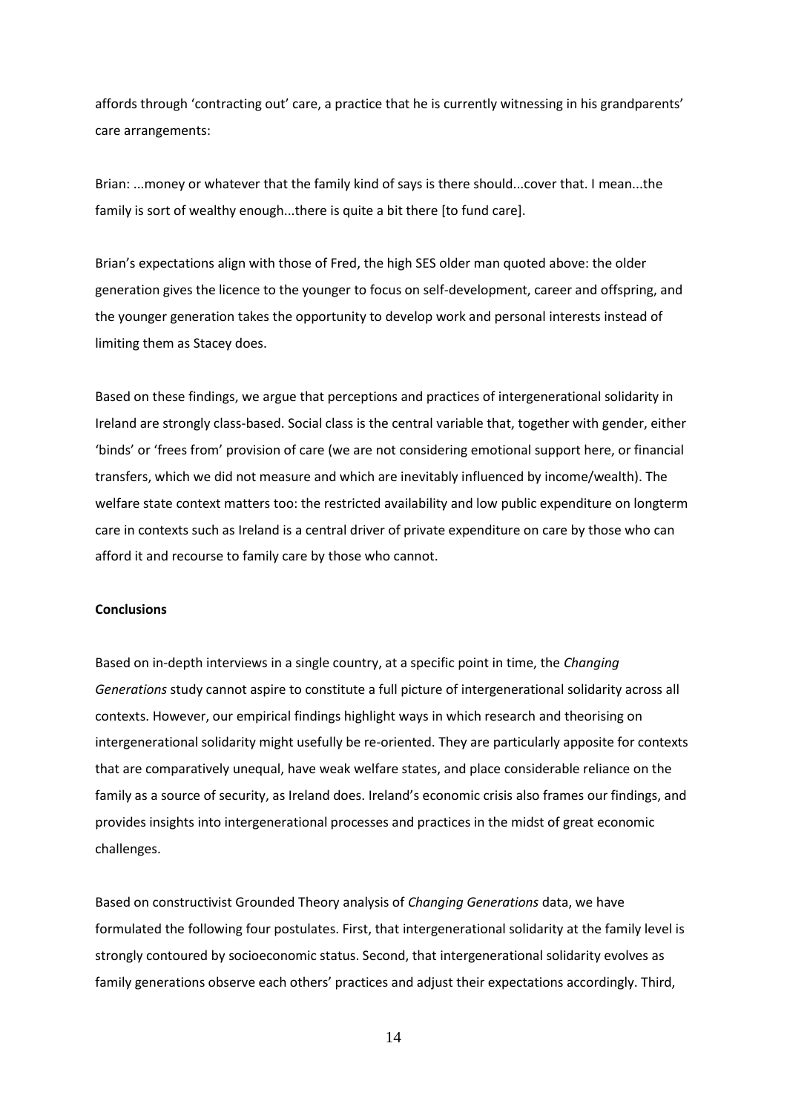affords through 'contracting out' care, a practice that he is currently witnessing in his grandparents' care arrangements:

Brian: ...money or whatever that the family kind of says is there should...cover that. I mean...the family is sort of wealthy enough...there is quite a bit there [to fund care].

Brian's expectations align with those of Fred, the high SES older man quoted above: the older generation gives the licence to the younger to focus on self-development, career and offspring, and the younger generation takes the opportunity to develop work and personal interests instead of limiting them as Stacey does.

Based on these findings, we argue that perceptions and practices of intergenerational solidarity in Ireland are strongly class-based. Social class is the central variable that, together with gender, either 'binds' or 'frees from' provision of care (we are not considering emotional support here, or financial transfers, which we did not measure and which are inevitably influenced by income/wealth). The welfare state context matters too: the restricted availability and low public expenditure on longterm care in contexts such as Ireland is a central driver of private expenditure on care by those who can afford it and recourse to family care by those who cannot.

#### **Conclusions**

Based on in-depth interviews in a single country, at a specific point in time, the *Changing Generations* study cannot aspire to constitute a full picture of intergenerational solidarity across all contexts. However, our empirical findings highlight ways in which research and theorising on intergenerational solidarity might usefully be re-oriented. They are particularly apposite for contexts that are comparatively unequal, have weak welfare states, and place considerable reliance on the family as a source of security, as Ireland does. Ireland's economic crisis also frames our findings, and provides insights into intergenerational processes and practices in the midst of great economic challenges.

Based on constructivist Grounded Theory analysis of *Changing Generations* data, we have formulated the following four postulates. First, that intergenerational solidarity at the family level is strongly contoured by socioeconomic status. Second, that intergenerational solidarity evolves as family generations observe each others' practices and adjust their expectations accordingly. Third,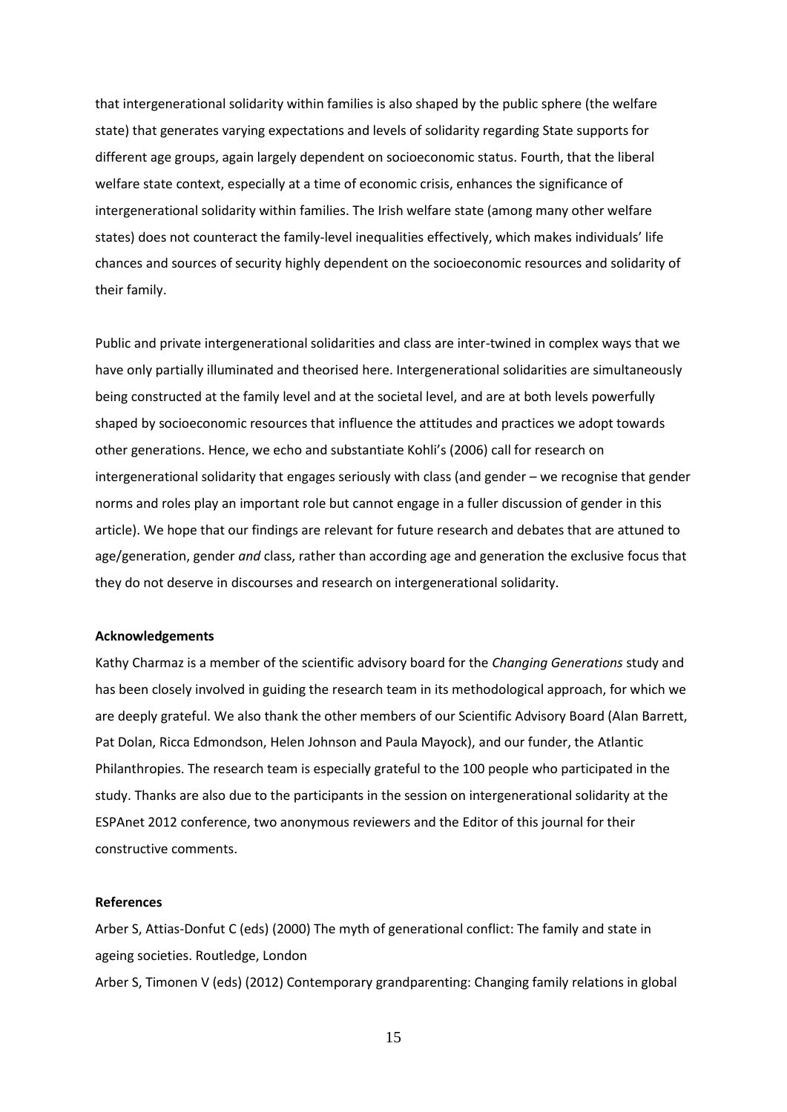that intergenerational solidarity within families is also shaped by the public sphere (the welfare state) that generates varying expectations and levels of solidarity regarding State supports for different age groups, again largely dependent on socioeconomic status. Fourth, that the liberal welfare state context, especially at a time of economic crisis, enhances the significance of intergenerational solidarity within families. The Irish welfare state (among many other welfare states) does not counteract the family-level inequalities effectively, which makes individuals' life chances and sources of security highly dependent on the socioeconomic resources and solidarity of their family.

Public and private intergenerational solidarities and class are inter-twined in complex ways that we have only partially illuminated and theorised here. Intergenerational solidarities are simultaneously being constructed at the family level and at the societal level, and are at both levels powerfully shaped by socioeconomic resources that influence the attitudes and practices we adopt towards other generations. Hence, we echo and substantiate Kohli's (2006) call for research on intergenerational solidarity that engages seriously with class (and gender – we recognise that gender norms and roles play an important role but cannot engage in a fuller discussion of gender in this article). We hope that our findings are relevant for future research and debates that are attuned to age/generation, gender *and* class, rather than according age and generation the exclusive focus that they do not deserve in discourses and research on intergenerational solidarity.

## **Acknowledgements**

Kathy Charmaz is a member of the scientific advisory board for the *Changing Generations* study and has been closely involved in guiding the research team in its methodological approach, for which we are deeply grateful. We also thank the other members of our Scientific Advisory Board (Alan Barrett, Pat Dolan, Ricca Edmondson, Helen Johnson and Paula Mayock), and our funder, the Atlantic Philanthropies. The research team is especially grateful to the 100 people who participated in the study. Thanks are also due to the participants in the session on intergenerational solidarity at the ESPAnet 2012 conference, two anonymous reviewers and the Editor of this journal for their constructive comments.

# **References**

Arber S, Attias-Donfut C (eds) (2000) The myth of generational conflict: The family and state in ageing societies. Routledge, London Arber S, Timonen V (eds) (2012) Contemporary grandparenting: Changing family relations in global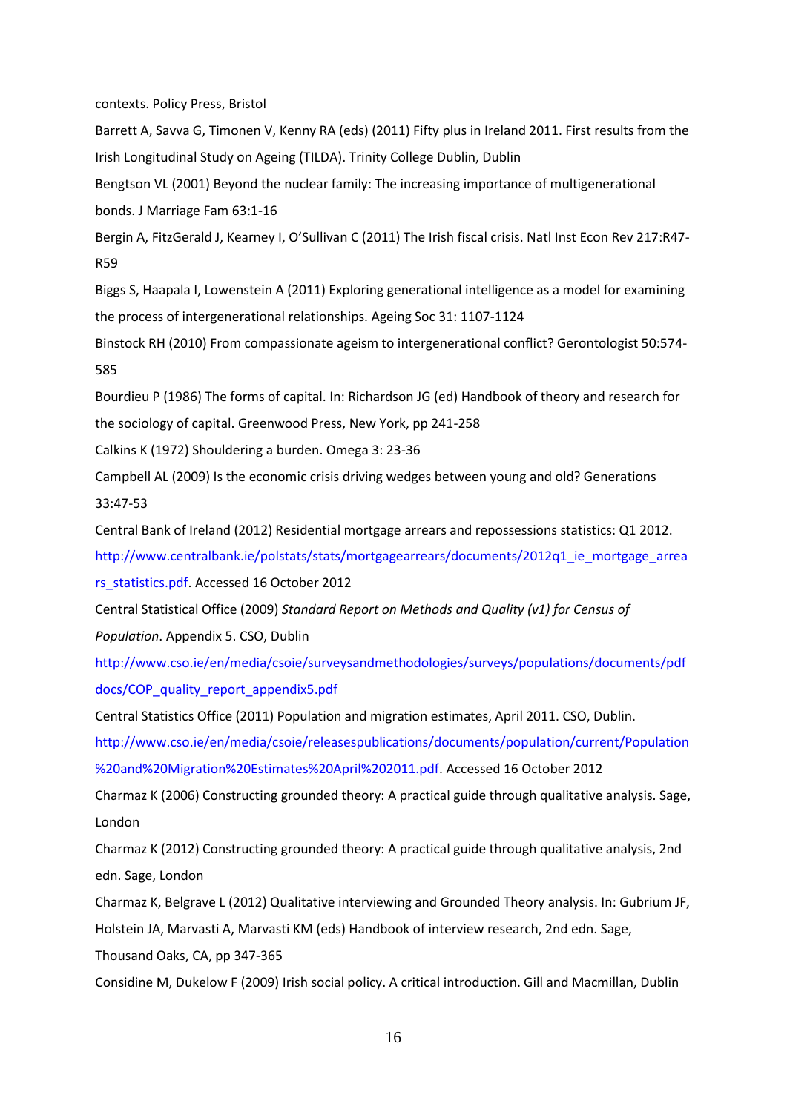contexts. Policy Press, Bristol

Barrett A, Savva G, Timonen V, Kenny RA (eds) (2011) Fifty plus in Ireland 2011. First results from the Irish Longitudinal Study on Ageing (TILDA). Trinity College Dublin, Dublin

Bengtson VL (2001) Beyond the nuclear family: The increasing importance of multigenerational bonds. J Marriage Fam 63:1-16

Bergin A, FitzGerald J, Kearney I, O'Sullivan C (2011) The Irish fiscal crisis. Natl Inst Econ Rev 217:R47- R59

Biggs S, Haapala I, Lowenstein A (2011) Exploring generational intelligence as a model for examining the process of intergenerational relationships. Ageing Soc 31: 1107-1124

Binstock RH (2010) From compassionate ageism to intergenerational conflict? Gerontologist 50:574- 585

Bourdieu P (1986) The forms of capital. In: Richardson JG (ed) Handbook of theory and research for the sociology of capital. Greenwood Press, New York, pp 241-258

Calkins K (1972) Shouldering a burden. Omega 3: 23-36

Campbell AL (2009) Is the economic crisis driving wedges between young and old? Generations 33:47-53

Central Bank of Ireland (2012) Residential mortgage arrears and repossessions statistics: Q1 2012.

http://www.centralbank.ie/polstats/stats/mortgagearrears/documents/2012q1 ie mortgage arrea

rs\_statistics.pdf. Accessed 16 October 2012

Central Statistical Office (2009) *Standard Report on Methods and Quality (v1) for Census of Population*. Appendix 5. CSO, Dublin

http://www.cso.ie/en/media/csoie/surveysandmethodologies/surveys/populations/documents/pdf docs/COP\_quality\_report\_appendix5.pdf

Central Statistics Office (2011) Population and migration estimates, April 2011. CSO, Dublin.

http://www.cso.ie/en/media/csoie/releasespublications/documents/population/current/Population %20and%20Migration%20Estimates%20April%202011.pdf. Accessed 16 October 2012

Charmaz K (2006) Constructing grounded theory: A practical guide through qualitative analysis. Sage, London

Charmaz K (2012) Constructing grounded theory: A practical guide through qualitative analysis, 2nd edn. Sage, London

Charmaz K, Belgrave L (2012) Qualitative interviewing and Grounded Theory analysis. In: Gubrium JF, Holstein JA, Marvasti A, Marvasti KM (eds) Handbook of interview research, 2nd edn. Sage, Thousand Oaks, CA, pp 347-365

Considine M, Dukelow F (2009) Irish social policy. A critical introduction. Gill and Macmillan, Dublin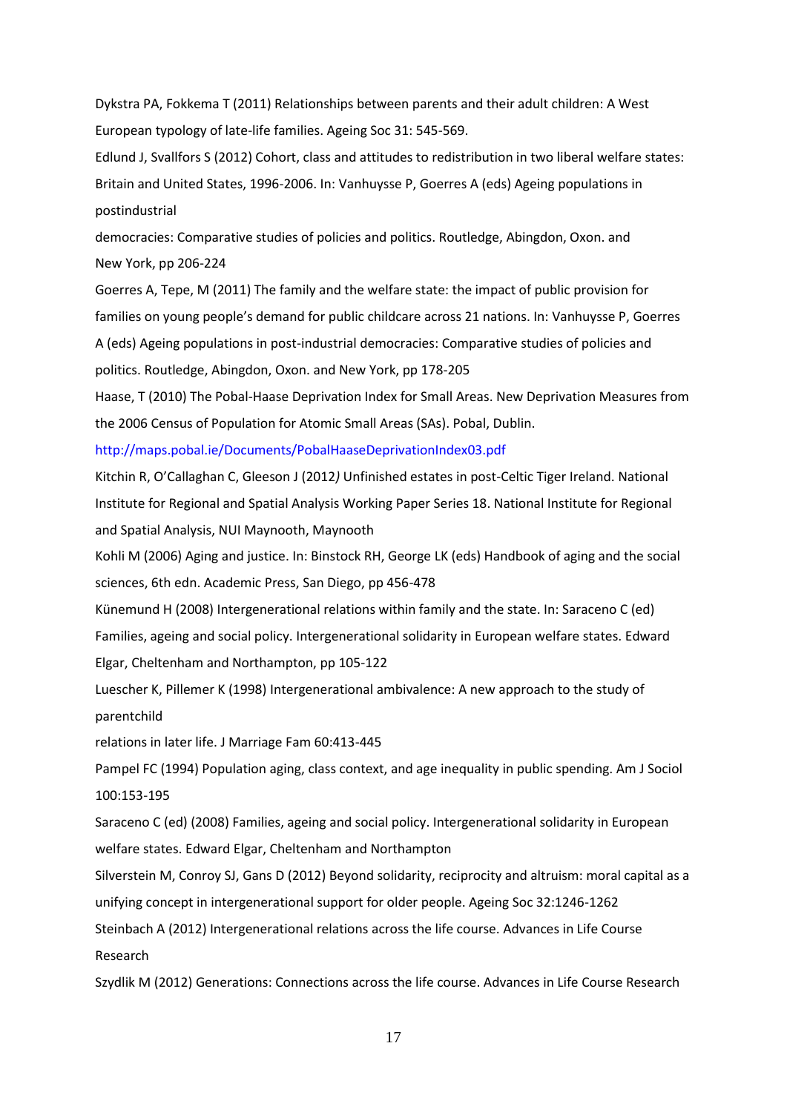Dykstra PA, Fokkema T (2011) Relationships between parents and their adult children: A West European typology of late-life families. Ageing Soc 31: 545-569.

Edlund J, Svallfors S (2012) Cohort, class and attitudes to redistribution in two liberal welfare states: Britain and United States, 1996-2006. In: Vanhuysse P, Goerres A (eds) Ageing populations in postindustrial

democracies: Comparative studies of policies and politics. Routledge, Abingdon, Oxon. and New York, pp 206-224

Goerres A, Tepe, M (2011) The family and the welfare state: the impact of public provision for families on young people's demand for public childcare across 21 nations. In: Vanhuysse P, Goerres A (eds) Ageing populations in post-industrial democracies: Comparative studies of policies and politics. Routledge, Abingdon, Oxon. and New York, pp 178-205

Haase, T (2010) The Pobal-Haase Deprivation Index for Small Areas. New Deprivation Measures from the 2006 Census of Population for Atomic Small Areas (SAs). Pobal, Dublin.

http://maps.pobal.ie/Documents/PobalHaaseDeprivationIndex03.pdf

Kitchin R, O'Callaghan C, Gleeson J (2012*)* Unfinished estates in post-Celtic Tiger Ireland. National Institute for Regional and Spatial Analysis Working Paper Series 18. National Institute for Regional and Spatial Analysis, NUI Maynooth, Maynooth

Kohli M (2006) Aging and justice. In: Binstock RH, George LK (eds) Handbook of aging and the social sciences, 6th edn. Academic Press, San Diego, pp 456-478

Künemund H (2008) Intergenerational relations within family and the state. In: Saraceno C (ed) Families, ageing and social policy. Intergenerational solidarity in European welfare states. Edward Elgar, Cheltenham and Northampton, pp 105-122

Luescher K, Pillemer K (1998) Intergenerational ambivalence: A new approach to the study of parentchild

relations in later life. J Marriage Fam 60:413-445

Pampel FC (1994) Population aging, class context, and age inequality in public spending. Am J Sociol 100:153-195

Saraceno C (ed) (2008) Families, ageing and social policy. Intergenerational solidarity in European welfare states. Edward Elgar, Cheltenham and Northampton

Silverstein M, Conroy SJ, Gans D (2012) Beyond solidarity, reciprocity and altruism: moral capital as a unifying concept in intergenerational support for older people. Ageing Soc 32:1246-1262

Steinbach A (2012) Intergenerational relations across the life course. Advances in Life Course Research

Szydlik M (2012) Generations: Connections across the life course. Advances in Life Course Research